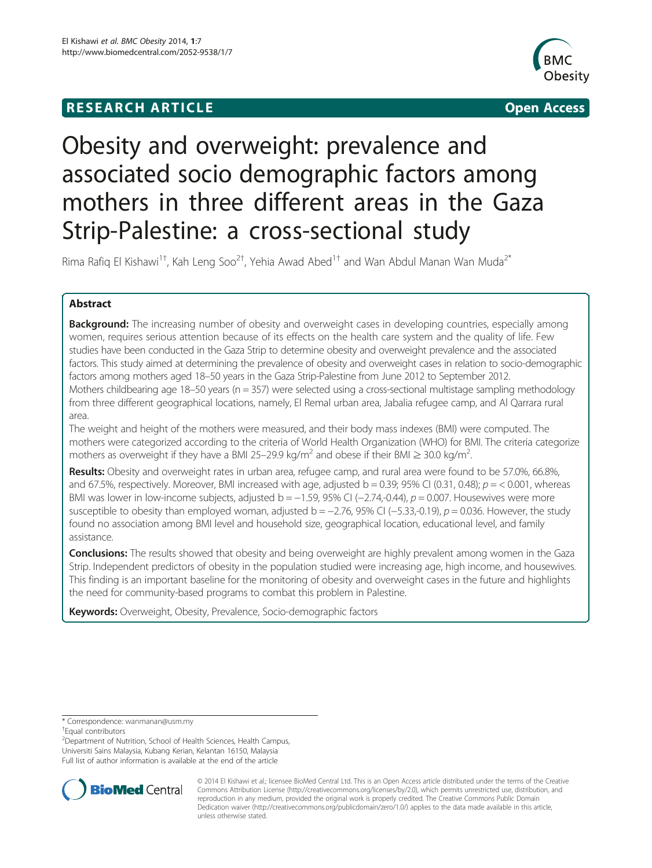## **RESEARCH ARTICLE Example 2008 CONSIDERING CONSIDERING CONSIDERING CONSIDERING CONSIDERING CONSIDERING CONSIDERING CONSIDERING CONSIDERING CONSIDERING CONSIDERING CONSIDERING CONSIDERING CONSIDERING CONSIDERING CONSIDE**



# Obesity and overweight: prevalence and associated socio demographic factors among mothers in three different areas in the Gaza Strip-Palestine: a cross-sectional study

Rima Rafiq El Kishawi $^{1\dagger}$ , Kah Leng Soo $^{2\dagger}$ , Yehia Awad Abed $^{1\dagger}$  and Wan Abdul Manan Wan Muda $^{2^\ast}$ 

## Abstract

**Background:** The increasing number of obesity and overweight cases in developing countries, especially among women, requires serious attention because of its effects on the health care system and the quality of life. Few studies have been conducted in the Gaza Strip to determine obesity and overweight prevalence and the associated factors. This study aimed at determining the prevalence of obesity and overweight cases in relation to socio-demographic factors among mothers aged 18–50 years in the Gaza Strip-Palestine from June 2012 to September 2012. Mothers childbearing age 18–50 years (n = 357) were selected using a cross-sectional multistage sampling methodology from three different geographical locations, namely, El Remal urban area, Jabalia refugee camp, and Al Qarrara rural area.

The weight and height of the mothers were measured, and their body mass indexes (BMI) were computed. The mothers were categorized according to the criteria of World Health Organization (WHO) for BMI. The criteria categorize mothers as overweight if they have a BMI 25–29.9 kg/m<sup>2</sup> and obese if their BMI  $\geq$  30.0 kg/m<sup>2</sup>. .

Results: Obesity and overweight rates in urban area, refugee camp, and rural area were found to be 57.0%, 66.8%, and 67.5%, respectively. Moreover, BMI increased with age, adjusted  $b = 0.39$ ; 95% CI (0.31, 0.48);  $p = 0.001$ , whereas BMI was lower in low-income subjects, adjusted b =  $-1.59$ , 95% CI ( $-2.74$ ,-0.44),  $p = 0.007$ . Housewives were more susceptible to obesity than employed woman, adjusted b =  $-2.76$ , 95% CI ( $-5.33$ ,-0.19), p = 0.036. However, the study found no association among BMI level and household size, geographical location, educational level, and family assistance.

**Conclusions:** The results showed that obesity and being overweight are highly prevalent among women in the Gaza Strip. Independent predictors of obesity in the population studied were increasing age, high income, and housewives. This finding is an important baseline for the monitoring of obesity and overweight cases in the future and highlights the need for community-based programs to combat this problem in Palestine.

Keywords: Overweight, Obesity, Prevalence, Socio-demographic factors

<sup>2</sup> Department of Nutrition, School of Health Sciences, Health Campus, Universiti Sains Malaysia, Kubang Kerian, Kelantan 16150, Malaysia Full list of author information is available at the end of the article



© 2014 El Kishawi et al.; licensee BioMed Central Ltd. This is an Open Access article distributed under the terms of the Creative Commons Attribution License [\(http://creativecommons.org/licenses/by/2.0\)](http://creativecommons.org/licenses/by/2.0), which permits unrestricted use, distribution, and reproduction in any medium, provided the original work is properly credited. The Creative Commons Public Domain Dedication waiver [\(http://creativecommons.org/publicdomain/zero/1.0/](http://creativecommons.org/publicdomain/zero/1.0/)) applies to the data made available in this article, unless otherwise stated.

<sup>\*</sup> Correspondence: [wanmanan@usm.my](mailto:wanmanan@usm.my) †

<sup>&</sup>lt;sup>+</sup>Fqual contributors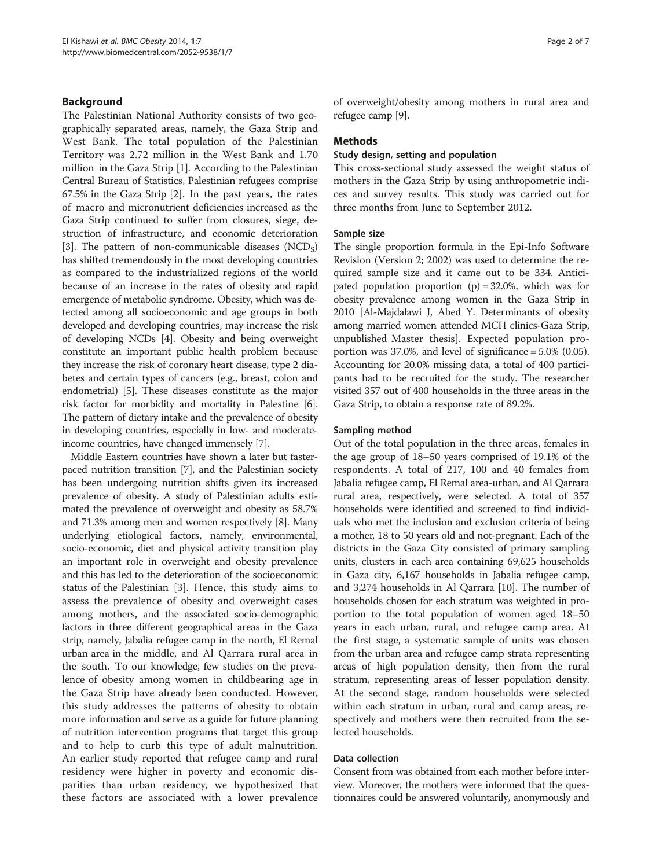## Background

The Palestinian National Authority consists of two geographically separated areas, namely, the Gaza Strip and West Bank. The total population of the Palestinian Territory was 2.72 million in the West Bank and 1.70 million in the Gaza Strip [\[1\]](#page-5-0). According to the Palestinian Central Bureau of Statistics, Palestinian refugees comprise 67.5% in the Gaza Strip [\[2](#page-5-0)]. In the past years, the rates of macro and micronutrient deficiencies increased as the Gaza Strip continued to suffer from closures, siege, destruction of infrastructure, and economic deterioration [[3\]](#page-5-0). The pattern of non-communicable diseases  $(NCD<sub>S</sub>)$ has shifted tremendously in the most developing countries as compared to the industrialized regions of the world because of an increase in the rates of obesity and rapid emergence of metabolic syndrome. Obesity, which was detected among all socioeconomic and age groups in both developed and developing countries, may increase the risk of developing NCDs [\[4](#page-5-0)]. Obesity and being overweight constitute an important public health problem because they increase the risk of coronary heart disease, type 2 diabetes and certain types of cancers (e.g., breast, colon and endometrial) [\[5](#page-5-0)]. These diseases constitute as the major risk factor for morbidity and mortality in Palestine [[6](#page-5-0)]. The pattern of dietary intake and the prevalence of obesity in developing countries, especially in low- and moderateincome countries, have changed immensely [\[7](#page-5-0)].

Middle Eastern countries have shown a later but fasterpaced nutrition transition [\[7\]](#page-5-0), and the Palestinian society has been undergoing nutrition shifts given its increased prevalence of obesity. A study of Palestinian adults estimated the prevalence of overweight and obesity as 58.7% and 71.3% among men and women respectively [[8](#page-5-0)]. Many underlying etiological factors, namely, environmental, socio-economic, diet and physical activity transition play an important role in overweight and obesity prevalence and this has led to the deterioration of the socioeconomic status of the Palestinian [[3](#page-5-0)]. Hence, this study aims to assess the prevalence of obesity and overweight cases among mothers, and the associated socio-demographic factors in three different geographical areas in the Gaza strip, namely, Jabalia refugee camp in the north, El Remal urban area in the middle, and Al Qarrara rural area in the south. To our knowledge, few studies on the prevalence of obesity among women in childbearing age in the Gaza Strip have already been conducted. However, this study addresses the patterns of obesity to obtain more information and serve as a guide for future planning of nutrition intervention programs that target this group and to help to curb this type of adult malnutrition. An earlier study reported that refugee camp and rural residency were higher in poverty and economic disparities than urban residency, we hypothesized that these factors are associated with a lower prevalence of overweight/obesity among mothers in rural area and refugee camp [\[9](#page-5-0)].

## **Methods**

### Study design, setting and population

This cross-sectional study assessed the weight status of mothers in the Gaza Strip by using anthropometric indices and survey results. This study was carried out for three months from June to September 2012.

## Sample size

The single proportion formula in the Epi-Info Software Revision (Version 2; 2002) was used to determine the required sample size and it came out to be 334. Anticipated population proportion  $(p) = 32.0\%$ , which was for obesity prevalence among women in the Gaza Strip in 2010 [Al-Majdalawi J, Abed Y. Determinants of obesity among married women attended MCH clinics-Gaza Strip, unpublished Master thesis]. Expected population proportion was 37.0%, and level of significance = 5.0% (0.05). Accounting for 20.0% missing data, a total of 400 participants had to be recruited for the study. The researcher visited 357 out of 400 households in the three areas in the Gaza Strip, to obtain a response rate of 89.2%.

### Sampling method

Out of the total population in the three areas, females in the age group of 18–50 years comprised of 19.1% of the respondents. A total of 217, 100 and 40 females from Jabalia refugee camp, El Remal area-urban, and Al Qarrara rural area, respectively, were selected. A total of 357 households were identified and screened to find individuals who met the inclusion and exclusion criteria of being a mother, 18 to 50 years old and not-pregnant. Each of the districts in the Gaza City consisted of primary sampling units, clusters in each area containing 69,625 households in Gaza city, 6,167 households in Jabalia refugee camp, and 3,274 households in Al Qarrara [\[10\]](#page-5-0). The number of households chosen for each stratum was weighted in proportion to the total population of women aged 18–50 years in each urban, rural, and refugee camp area. At the first stage, a systematic sample of units was chosen from the urban area and refugee camp strata representing areas of high population density, then from the rural stratum, representing areas of lesser population density. At the second stage, random households were selected within each stratum in urban, rural and camp areas, respectively and mothers were then recruited from the selected households.

## Data collection

Consent from was obtained from each mother before interview. Moreover, the mothers were informed that the questionnaires could be answered voluntarily, anonymously and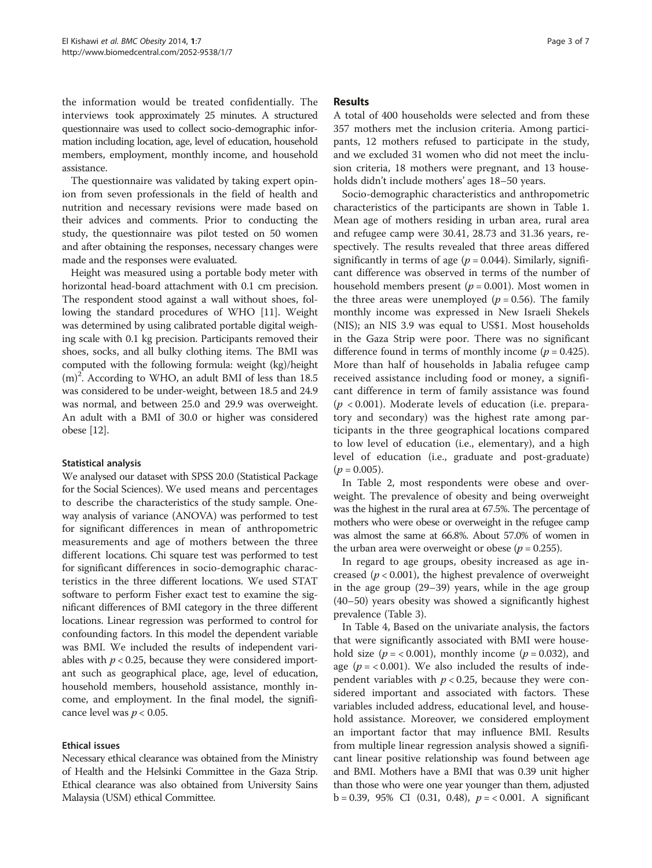the information would be treated confidentially. The interviews took approximately 25 minutes. A structured questionnaire was used to collect socio-demographic information including location, age, level of education, household members, employment, monthly income, and household assistance.

The questionnaire was validated by taking expert opinion from seven professionals in the field of health and nutrition and necessary revisions were made based on their advices and comments. Prior to conducting the study, the questionnaire was pilot tested on 50 women and after obtaining the responses, necessary changes were made and the responses were evaluated.

Height was measured using a portable body meter with horizontal head-board attachment with 0.1 cm precision. The respondent stood against a wall without shoes, following the standard procedures of WHO [\[11\]](#page-5-0). Weight was determined by using calibrated portable digital weighing scale with 0.1 kg precision. Participants removed their shoes, socks, and all bulky clothing items. The BMI was computed with the following formula: weight (kg)/height (m)<sup>2</sup>. According to WHO, an adult BMI of less than 18.5 was considered to be under-weight, between 18.5 and 24.9 was normal, and between 25.0 and 29.9 was overweight. An adult with a BMI of 30.0 or higher was considered obese [[12](#page-5-0)].

## Statistical analysis

We analysed our dataset with SPSS 20.0 (Statistical Package for the Social Sciences). We used means and percentages to describe the characteristics of the study sample. Oneway analysis of variance (ANOVA) was performed to test for significant differences in mean of anthropometric measurements and age of mothers between the three different locations. Chi square test was performed to test for significant differences in socio-demographic characteristics in the three different locations. We used STAT software to perform Fisher exact test to examine the significant differences of BMI category in the three different locations. Linear regression was performed to control for confounding factors. In this model the dependent variable was BMI. We included the results of independent variables with  $p < 0.25$ , because they were considered important such as geographical place, age, level of education, household members, household assistance, monthly income, and employment. In the final model, the significance level was  $p < 0.05$ .

## Ethical issues

Necessary ethical clearance was obtained from the Ministry of Health and the Helsinki Committee in the Gaza Strip. Ethical clearance was also obtained from University Sains Malaysia (USM) ethical Committee.

## Results

A total of 400 households were selected and from these 357 mothers met the inclusion criteria. Among participants, 12 mothers refused to participate in the study, and we excluded 31 women who did not meet the inclusion criteria, 18 mothers were pregnant, and 13 households didn't include mothers' ages 18–50 years.

Socio-demographic characteristics and anthropometric characteristics of the participants are shown in Table [1](#page-3-0). Mean age of mothers residing in urban area, rural area and refugee camp were 30.41, 28.73 and 31.36 years, respectively. The results revealed that three areas differed significantly in terms of age ( $p = 0.044$ ). Similarly, significant difference was observed in terms of the number of household members present ( $p = 0.001$ ). Most women in the three areas were unemployed ( $p = 0.56$ ). The family monthly income was expressed in New Israeli Shekels (NIS); an NIS 3.9 was equal to US\$1. Most households in the Gaza Strip were poor. There was no significant difference found in terms of monthly income ( $p = 0.425$ ). More than half of households in Jabalia refugee camp received assistance including food or money, a significant difference in term of family assistance was found  $(p < 0.001)$ . Moderate levels of education (i.e. preparatory and secondary) was the highest rate among participants in the three geographical locations compared to low level of education (i.e., elementary), and a high level of education (i.e., graduate and post-graduate)  $(p = 0.005)$ .

In Table [2](#page-3-0), most respondents were obese and overweight. The prevalence of obesity and being overweight was the highest in the rural area at 67.5%. The percentage of mothers who were obese or overweight in the refugee camp was almost the same at 66.8%. About 57.0% of women in the urban area were overweight or obese ( $p = 0.255$ ).

In regard to age groups, obesity increased as age increased ( $p < 0.001$ ), the highest prevalence of overweight in the age group (29–39) years, while in the age group (40–50) years obesity was showed a significantly highest prevalence (Table [3](#page-4-0)).

In Table [4](#page-4-0), Based on the univariate analysis, the factors that were significantly associated with BMI were household size ( $p = < 0.001$ ), monthly income ( $p = 0.032$ ), and age ( $p = < 0.001$ ). We also included the results of independent variables with  $p < 0.25$ , because they were considered important and associated with factors. These variables included address, educational level, and household assistance. Moreover, we considered employment an important factor that may influence BMI. Results from multiple linear regression analysis showed a significant linear positive relationship was found between age and BMI. Mothers have a BMI that was 0.39 unit higher than those who were one year younger than them, adjusted b = 0.39, 95% CI (0.31, 0.48),  $p = < 0.001$ . A significant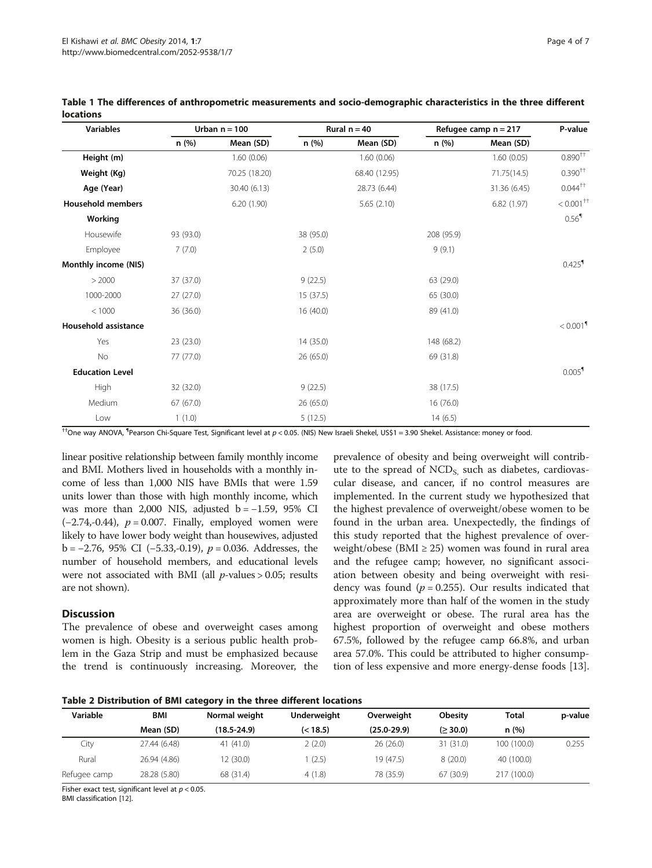| <b>Variables</b>         | Urban $n = 100$ |               | Rural $n = 40$ |               | Refugee camp $n = 217$ |              | P-value                  |
|--------------------------|-----------------|---------------|----------------|---------------|------------------------|--------------|--------------------------|
|                          | n(%)            | Mean (SD)     | n (%)          | Mean (SD)     | n(%)                   | Mean (SD)    |                          |
| Height (m)               |                 | 1.60(0.06)    |                | 1.60(0.06)    |                        | 1.60(0.05)   | $0.890^{\dagger\dagger}$ |
| Weight (Kg)              |                 | 70.25 (18.20) |                | 68.40 (12.95) |                        | 71.75(14.5)  | $0.390^{++}$             |
| Age (Year)               |                 | 30.40 (6.13)  |                | 28.73 (6.44)  |                        | 31.36 (6.45) | $0.044$ <sup>++</sup>    |
| <b>Household members</b> |                 | 6.20(1.90)    |                | 5.65 (2.10)   |                        | 6.82(1.97)   | $< 0.001$ <sup>++</sup>  |
| Working                  |                 |               |                |               |                        |              | 0.56 <sup>1</sup>        |
| Housewife                | 93 (93.0)       |               | 38 (95.0)      |               | 208 (95.9)             |              |                          |
| Employee                 | 7(7.0)          |               | 2(5.0)         |               | 9(9.1)                 |              |                          |
| Monthly income (NIS)     |                 |               |                |               |                        |              | $0.425$ <sup>1</sup>     |
| > 2000                   | 37 (37.0)       |               | 9(22.5)        |               | 63 (29.0)              |              |                          |
| 1000-2000                | 27(27.0)        |               | 15 (37.5)      |               | 65 (30.0)              |              |                          |
| < 1000                   | 36 (36.0)       |               | 16(40.0)       |               | 89 (41.0)              |              |                          |
| Household assistance     |                 |               |                |               |                        |              | $< 0.001$ <sup>9</sup>   |
| Yes                      | 23 (23.0)       |               | 14 (35.0)      |               | 148 (68.2)             |              |                          |
| No                       | 77 (77.0)       |               | 26 (65.0)      |               | 69 (31.8)              |              |                          |
| <b>Education Level</b>   |                 |               |                |               |                        |              | $0.005$ <sup>1</sup>     |
| High                     | 32 (32.0)       |               | 9(22.5)        |               | 38 (17.5)              |              |                          |
| Medium                   | 67(67.0)        |               | 26 (65.0)      |               | 16(76.0)               |              |                          |
| Low                      | 1(1.0)          |               | 5(12.5)        |               | 14(6.5)                |              |                          |

<span id="page-3-0"></span>Table 1 The differences of anthropometric measurements and socio-demographic characteristics in the three different locations

††One way ANOVA, ¶ Pearson Chi-Square Test, Significant level at p < 0.05. (NIS) New Israeli Shekel, US\$1 = 3.90 Shekel. Assistance: money or food.

linear positive relationship between family monthly income and BMI. Mothers lived in households with a monthly income of less than 1,000 NIS have BMIs that were 1.59 units lower than those with high monthly income, which was more than 2,000 NIS, adjusted  $b = -1.59$ , 95% CI  $(-2.74,-0.44)$ ,  $p = 0.007$ . Finally, employed women were likely to have lower body weight than housewives, adjusted b = −2.76, 95% CI (−5.33,-0.19), p = 0.036. Addresses, the number of household members, and educational levels were not associated with BMI (all  $p$ -values > 0.05; results are not shown).

## **Discussion**

The prevalence of obese and overweight cases among women is high. Obesity is a serious public health problem in the Gaza Strip and must be emphasized because the trend is continuously increasing. Moreover, the

prevalence of obesity and being overweight will contribute to the spread of  $NCD<sub>S</sub>$ , such as diabetes, cardiovascular disease, and cancer, if no control measures are implemented. In the current study we hypothesized that the highest prevalence of overweight/obese women to be found in the urban area. Unexpectedly, the findings of this study reported that the highest prevalence of overweight/obese (BMI  $\geq$  25) women was found in rural area and the refugee camp; however, no significant association between obesity and being overweight with residency was found ( $p = 0.255$ ). Our results indicated that approximately more than half of the women in the study area are overweight or obese. The rural area has the highest proportion of overweight and obese mothers 67.5%, followed by the refugee camp 66.8%, and urban area 57.0%. This could be attributed to higher consumption of less expensive and more energy-dense foods [\[13](#page-5-0)].

Table 2 Distribution of BMI category in the three different locations

| Variable     | BMI          | Normal weight   | Underweight | Overweight      | <b>Obesity</b> | <b>Total</b> | p-value |
|--------------|--------------|-----------------|-------------|-----------------|----------------|--------------|---------|
|              | Mean (SD)    | $(18.5 - 24.9)$ | (< 18.5)    | $(25.0 - 29.9)$ | (≥ 30.0)       | n(%)         |         |
| City         | 27.44 (6.48) | 41 (41.0)       | 2(2.0)      | 26(26.0)        | 31(31.0)       | 100 (100.0)  | 0.255   |
| Rural        | 26.94 (4.86) | 12 (30.0)       | (2.5)       | 19 (47.5)       | 8(20.0)        | 40 (100.0)   |         |
| Refugee camp | 28.28 (5.80) | 68 (31.4)       | 4(1.8)      | 78 (35.9)       | 67 (30.9)      | 217 (100.0)  |         |

Fisher exact test, significant level at  $p < 0.05$ .

BMI classification [[12](#page-5-0)].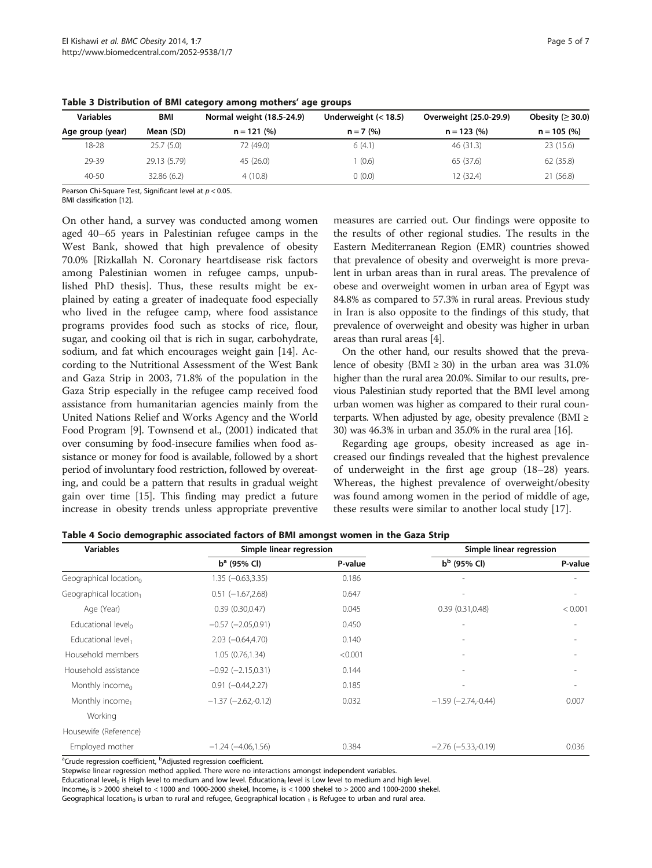| <b>Variables</b> | <b>BMI</b>   | Normal weight (18.5-24.9) | Underweight $(< 18.5)$ | Overweight (25.0-29.9) | Obesity ( $\geq$ 30.0) |
|------------------|--------------|---------------------------|------------------------|------------------------|------------------------|
| Age group (year) | Mean (SD)    | $n = 121 (%)$             | $n = 7$ (%)            | $n = 123$ (%)          | $n = 105$ (%)          |
| 18-28            | 25.7(5.0)    | 72 (49.0)                 | 6(4.1)                 | 46 (31.3)              | 23 (15.6)              |
| 29-39            | 29.13 (5.79) | 45 (26.0)                 | (0.6)                  | 65 (37.6)              | 62 (35.8)              |
| $40 - 50$        | 32.86(6.2)   | 4(10.8)                   | (0.0)                  | 12 (32.4)              | 21 (56.8)              |

<span id="page-4-0"></span>Table 3 Distribution of BMI category among mothers' age groups

Pearson Chi-Square Test, Significant level at  $p < 0.05$ .

BMI classification [[12](#page-5-0)].

On other hand, a survey was conducted among women aged 40–65 years in Palestinian refugee camps in the West Bank, showed that high prevalence of obesity 70.0% [Rizkallah N. Coronary heartdisease risk factors among Palestinian women in refugee camps, unpublished PhD thesis]. Thus, these results might be explained by eating a greater of inadequate food especially who lived in the refugee camp, where food assistance programs provides food such as stocks of rice, flour, sugar, and cooking oil that is rich in sugar, carbohydrate, sodium, and fat which encourages weight gain [\[14\]](#page-5-0). According to the Nutritional Assessment of the West Bank and Gaza Strip in 2003, 71.8% of the population in the Gaza Strip especially in the refugee camp received food assistance from humanitarian agencies mainly from the United Nations Relief and Works Agency and the World Food Program [[9](#page-5-0)]. Townsend et al., (2001) indicated that over consuming by food-insecure families when food assistance or money for food is available, followed by a short period of involuntary food restriction, followed by overeating, and could be a pattern that results in gradual weight gain over time [[15](#page-5-0)]. This finding may predict a future increase in obesity trends unless appropriate preventive

measures are carried out. Our findings were opposite to the results of other regional studies. The results in the Eastern Mediterranean Region (EMR) countries showed that prevalence of obesity and overweight is more prevalent in urban areas than in rural areas. The prevalence of obese and overweight women in urban area of Egypt was 84.8% as compared to 57.3% in rural areas. Previous study in Iran is also opposite to the findings of this study, that prevalence of overweight and obesity was higher in urban areas than rural areas [\[4](#page-5-0)].

On the other hand, our results showed that the prevalence of obesity (BMI  $\geq$  30) in the urban area was 31.0% higher than the rural area 20.0%. Similar to our results, previous Palestinian study reported that the BMI level among urban women was higher as compared to their rural counterparts. When adjusted by age, obesity prevalence (BMI  $\geq$ 30) was 46.3% in urban and 35.0% in the rural area [\[16\]](#page-5-0).

Regarding age groups, obesity increased as age increased our findings revealed that the highest prevalence of underweight in the first age group (18–28) years. Whereas, the highest prevalence of overweight/obesity was found among women in the period of middle of age, these results were similar to another local study [[17\]](#page-5-0).

| <b>Variables</b>                   | Simple linear regression  |         | Simple linear regression   |         |  |
|------------------------------------|---------------------------|---------|----------------------------|---------|--|
|                                    | $b^a$ (95% Cl)            | P-value | $b^b$ (95% CI)             | P-value |  |
| Geographical location <sub>0</sub> | 1.35 (-0.63,3.35)         | 0.186   |                            |         |  |
| Geographical location1             | $0.51$ (-1.67,2.68)       | 0.647   |                            |         |  |
| Age (Year)                         | 0.39(0.30, 0.47)          | 0.045   | 0.39(0.31, 0.48)           | < 0.001 |  |
| Educational level                  | $-0.57$ ( $-2.05,0.91$ )  | 0.450   |                            |         |  |
| Educational level,                 | $2.03 (-0.64, 4.70)$      | 0.140   |                            |         |  |
| Household members                  | 1.05(0.76, 1.34)          | < 0.001 |                            |         |  |
| Household assistance               | $-0.92$ ( $-2.15,0.31$ )  | 0.144   |                            |         |  |
| Monthly income <sub>0</sub>        | $0.91 (-0.44, 2.27)$      | 0.185   |                            |         |  |
| Monthly income <sub>1</sub>        | $-1.37$ ( $-2.62,-0.12$ ) | 0.032   | $-1.59$ ( $-2.74, -0.44$ ) | 0.007   |  |
| Working                            |                           |         |                            |         |  |
| Housewife (Reference)              |                           |         |                            |         |  |
| Employed mother                    | $-1.24 (-4.06, 1.56)$     | 0.384   | $-2.76$ ( $-5.33,-0.19$ )  | 0.036   |  |

Table 4 Socio demographic associated factors of BMI amongst women in the Gaza Strip

<sup>a</sup>Crude regression coefficient, <sup>b</sup>Adjusted regression coefficient.

Stepwise linear regression method applied. There were no interactions amongst independent variables.

Educational level<sub>0</sub> is High level to medium and low level. Educationa<sub>l</sub> level is Low level to medium and high level.  $Income_0$  is > 2000 shekel to < 1000 and 1000-2000 shekel, Income<sub>1</sub> is < 1000 shekel to > 2000 and 1000-2000 shekel. Geographical location<sub>0</sub> is urban to rural and refugee, Geographical location  $_1$  is Refugee to urban and rural area.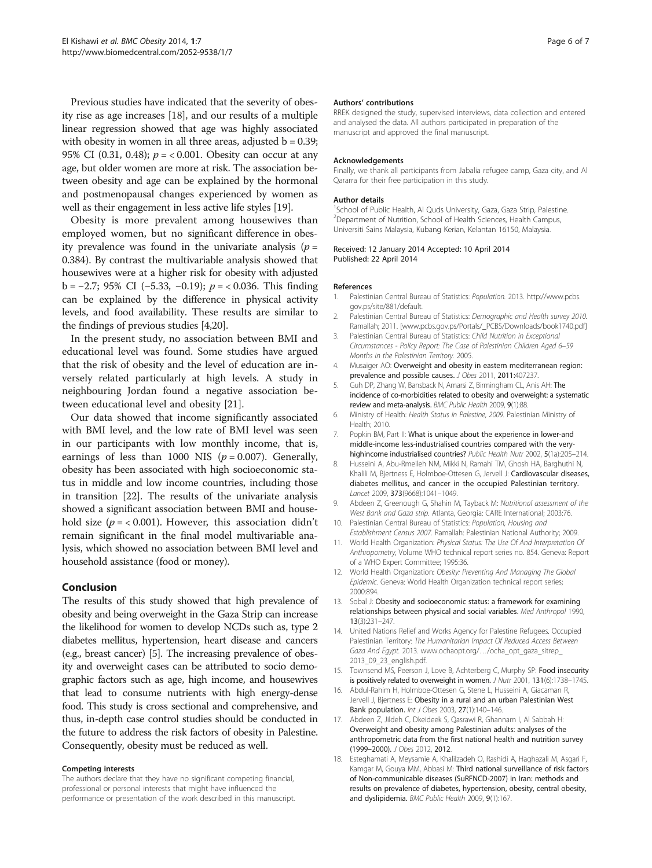<span id="page-5-0"></span>Previous studies have indicated that the severity of obesity rise as age increases [18], and our results of a multiple linear regression showed that age was highly associated with obesity in women in all three areas, adjusted  $b = 0.39$ ; 95% CI (0.31, 0.48);  $p = 0.001$ . Obesity can occur at any age, but older women are more at risk. The association between obesity and age can be explained by the hormonal and postmenopausal changes experienced by women as well as their engagement in less active life styles [\[19\]](#page-6-0).

Obesity is more prevalent among housewives than employed women, but no significant difference in obesity prevalence was found in the univariate analysis ( $p =$ 0.384). By contrast the multivariable analysis showed that housewives were at a higher risk for obesity with adjusted b = −2.7; 95% CI (−5.33, −0.19); p = < 0.036. This finding can be explained by the difference in physical activity levels, and food availability. These results are similar to the findings of previous studies [4,[20](#page-6-0)].

In the present study, no association between BMI and educational level was found. Some studies have argued that the risk of obesity and the level of education are inversely related particularly at high levels. A study in neighbouring Jordan found a negative association between educational level and obesity [[21\]](#page-6-0).

Our data showed that income significantly associated with BMI level, and the low rate of BMI level was seen in our participants with low monthly income, that is, earnings of less than 1000 NIS ( $p = 0.007$ ). Generally, obesity has been associated with high socioeconomic status in middle and low income countries, including those in transition [\[22\]](#page-6-0). The results of the univariate analysis showed a significant association between BMI and household size ( $p = < 0.001$ ). However, this association didn't remain significant in the final model multivariable analysis, which showed no association between BMI level and household assistance (food or money).

## Conclusion

The results of this study showed that high prevalence of obesity and being overweight in the Gaza Strip can increase the likelihood for women to develop NCDs such as, type 2 diabetes mellitus, hypertension, heart disease and cancers (e.g., breast cancer) [5]. The increasing prevalence of obesity and overweight cases can be attributed to socio demographic factors such as age, high income, and housewives that lead to consume nutrients with high energy-dense food. This study is cross sectional and comprehensive, and thus, in-depth case control studies should be conducted in the future to address the risk factors of obesity in Palestine. Consequently, obesity must be reduced as well.

#### Competing interests

The authors declare that they have no significant competing financial, professional or personal interests that might have influenced the performance or presentation of the work described in this manuscript.

#### Authors' contributions

RREK designed the study, supervised interviews, data collection and entered and analysed the data. All authors participated in preparation of the manuscript and approved the final manuscript.

#### Acknowledgements

Finally, we thank all participants from Jabalia refugee camp, Gaza city, and Al Qararra for their free participation in this study.

#### Author details

<sup>1</sup>School of Public Health, Al Quds University, Gaza, Gaza Strip, Palestine. <sup>2</sup> Department of Nutrition, School of Health Sciences, Health Campus, Universiti Sains Malaysia, Kubang Kerian, Kelantan 16150, Malaysia.

#### Received: 12 January 2014 Accepted: 10 April 2014 Published: 22 April 2014

#### References

- 1. Palestinian Central Bureau of Statistics: Population. 2013. [http://www.pcbs.](http://www.pcbs.gov.ps/site/881/default) [gov.ps/site/881/default](http://www.pcbs.gov.ps/site/881/default).
- 2. Palestinian Central Bureau of Statistics: Demographic and Health survey 2010. Ramallah; 2011. [[www.pcbs.gov.ps/Portals/\\_PCBS/Downloads/book1740.pdf\]](http://www.pcbs.gov.ps/Portals/_PCBS/Downloads/book1740.pdf)
- 3. Palestinian Central Bureau of Statistics: Child Nutrition in Exceptional Circumstances - Policy Report: The Case of Palestinian Children Aged 6–59 Months in the Palestinian Territory. 2005.
- 4. Musaiger AO: Overweight and obesity in eastern mediterranean region: prevalence and possible causes. J Obes 2011, 2011:407237.
- 5. Guh DP, Zhang W, Bansback N, Amarsi Z, Birmingham CL, Anis AH: The incidence of co-morbidities related to obesity and overweight: a systematic review and meta-analysis. BMC Public Health 2009, 9(1):88.
- 6. Ministry of Health: Health Status in Palestine, 2009. Palestinian Ministry of Health; 2010.
- 7. Popkin BM, Part II: What is unique about the experience in lower-and middle-income less-industrialised countries compared with the veryhighincome industrialised countries? Public Health Nutr 2002, 5(1a):205–214.
- 8. Husseini A, Abu-Rmeileh NM, Mikki N, Ramahi TM, Ghosh HA, Barghuthi N, Khalili M, Bjertness E, Holmboe-Ottesen G, Jervell J: Cardiovascular diseases, diabetes mellitus, and cancer in the occupied Palestinian territory. Lancet 2009, 373(9668):1041–1049.
- 9. Abdeen Z, Greenough G, Shahin M, Tayback M: Nutritional assessment of the West Bank and Gaza strip. Atlanta, Georgia: CARE International; 2003:76.
- 10. Palestinian Central Bureau of Statistics: Population, Housing and Establishment Census 2007. Ramallah: Palestinian National Authority; 2009.
- 11. World Health Organization: Physical Status: The Use Of And Interpretation Of Anthropometry, Volume WHO technical report series no. 854. Geneva: Report of a WHO Expert Committee; 1995:36.
- 12. World Health Organization: Obesity: Preventing And Managing The Global Epidemic. Geneva: World Health Organization technical report series; 2000:894.
- 13. Sobal J: Obesity and socioeconomic status: a framework for examining relationships between physical and social variables. Med Anthropol 1990, 13(3):231–247.
- 14. United Nations Relief and Works Agency for Palestine Refugees. Occupied Palestinian Territory: The Humanitarian Impact Of Reduced Access Between Gaza And Egypt. 2013. www.ochaopt.org/…[/ocha\\_opt\\_gaza\\_sitrep\\_](http://www.ochaopt.org/%E2%80%A6/ocha_opt_gaza_sitrep_2013_09_23_english.pdf) [2013\\_09\\_23\\_english.pdf.](http://www.ochaopt.org/%E2%80%A6/ocha_opt_gaza_sitrep_2013_09_23_english.pdf)
- 15. Townsend MS, Peerson J, Love B, Achterberg C, Murphy SP: Food insecurity is positively related to overweight in women. J Nutr 2001, 131(6):1738–1745.
- 16. Abdul-Rahim H, Holmboe-Ottesen G, Stene L, Husseini A, Giacaman R, Jervell J, Bjertness E: Obesity in a rural and an urban Palestinian West Bank population. Int J Obes 2003, 27(1):140–146.
- 17. Abdeen Z, Jildeh C, Dkeideek S, Qasrawi R, Ghannam I, Al Sabbah H: Overweight and obesity among Palestinian adults: analyses of the anthropometric data from the first national health and nutrition survey (1999–2000). J Obes 2012, 2012.
- 18. Esteghamati A, Meysamie A, Khalilzadeh O, Rashidi A, Haghazali M, Asgari F, Kamgar M, Gouya MM, Abbasi M: Third national surveillance of risk factors of Non-communicable diseases (SuRFNCD-2007) in Iran: methods and results on prevalence of diabetes, hypertension, obesity, central obesity, and dyslipidemia. BMC Public Health 2009, 9(1):167.